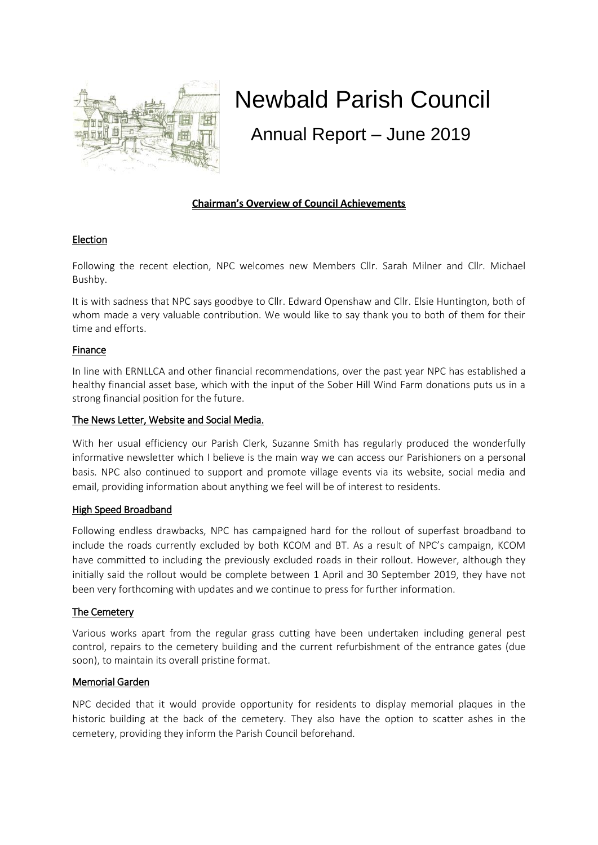

# Newbald Parish Council

Annual Report – June 2019

# **Chairman's Overview of Council Achievements**

# Election

Following the recent election, NPC welcomes new Members Cllr. Sarah Milner and Cllr. Michael Bushby.

It is with sadness that NPC says goodbye to Cllr. Edward Openshaw and Cllr. Elsie Huntington, both of whom made a very valuable contribution. We would like to say thank you to both of them for their time and efforts.

## Finance

In line with ERNLLCA and other financial recommendations, over the past year NPC has established a healthy financial asset base, which with the input of the Sober Hill Wind Farm donations puts us in a strong financial position for the future.

## The News Letter, Website and Social Media.

With her usual efficiency our Parish Clerk, Suzanne Smith has regularly produced the wonderfully informative newsletter which I believe is the main way we can access our Parishioners on a personal basis. NPC also continued to support and promote village events via its website, social media and email, providing information about anything we feel will be of interest to residents.

# High Speed Broadband

Following endless drawbacks, NPC has campaigned hard for the rollout of superfast broadband to include the roads currently excluded by both KCOM and BT. As a result of NPC's campaign, KCOM have committed to including the previously excluded roads in their rollout. However, although they initially said the rollout would be complete between 1 April and 30 September 2019, they have not been very forthcoming with updates and we continue to press for further information.

# The Cemetery

Various works apart from the regular grass cutting have been undertaken including general pest control, repairs to the cemetery building and the current refurbishment of the entrance gates (due soon), to maintain its overall pristine format.

# Memorial Garden

NPC decided that it would provide opportunity for residents to display memorial plaques in the historic building at the back of the cemetery. They also have the option to scatter ashes in the cemetery, providing they inform the Parish Council beforehand.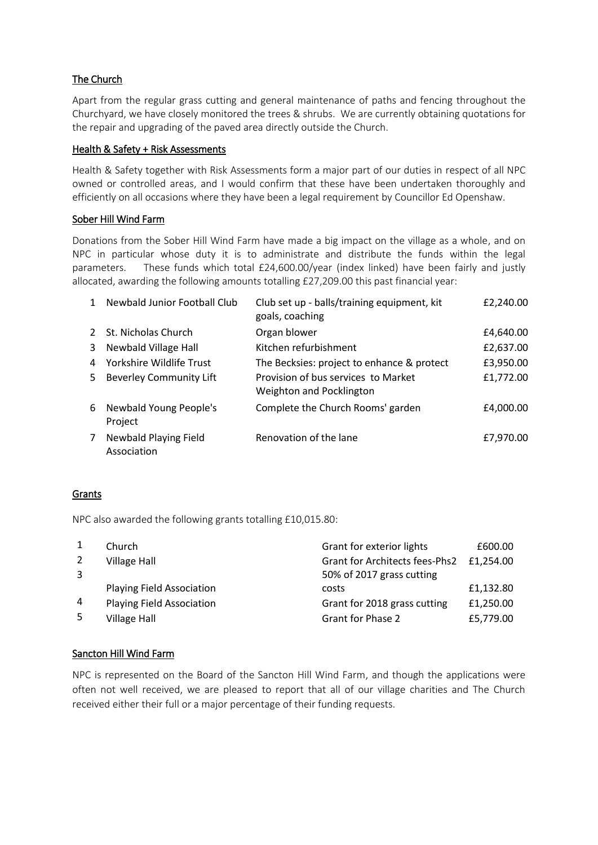# The Church

Apart from the regular grass cutting and general maintenance of paths and fencing throughout the Churchyard, we have closely monitored the trees & shrubs. We are currently obtaining quotations for the repair and upgrading of the paved area directly outside the Church.

## Health & Safety + Risk Assessments

Health & Safety together with Risk Assessments form a major part of our duties in respect of all NPC owned or controlled areas, and I would confirm that these have been undertaken thoroughly and efficiently on all occasions where they have been a legal requirement by Councillor Ed Openshaw.

# Sober Hill Wind Farm

Donations from the Sober Hill Wind Farm have made a big impact on the village as a whole, and on NPC in particular whose duty it is to administrate and distribute the funds within the legal parameters. These funds which total £24,600.00/year (index linked) have been fairly and justly allocated, awarding the following amounts totalling £27,209.00 this past financial year:

| 1  | Newbald Junior Football Club         | Club set up - balls/training equipment, kit<br>goals, coaching  | £2,240.00 |
|----|--------------------------------------|-----------------------------------------------------------------|-----------|
|    | St. Nicholas Church                  | Organ blower                                                    | £4,640.00 |
| 3  | Newbald Village Hall                 | Kitchen refurbishment                                           | £2,637.00 |
| 4  | Yorkshire Wildlife Trust             | The Becksies: project to enhance & protect                      | £3,950.00 |
| 5. | <b>Beverley Community Lift</b>       | Provision of bus services to Market<br>Weighton and Pocklington | £1,772.00 |
| 6  | Newbald Young People's<br>Project    | Complete the Church Rooms' garden                               | £4,000.00 |
| 7  | Newbald Playing Field<br>Association | Renovation of the lane                                          | £7,970.00 |

# Grants

NPC also awarded the following grants totalling £10,015.80:

|    | Church                           | Grant for exterior lights             | £600.00   |
|----|----------------------------------|---------------------------------------|-----------|
|    | <b>Village Hall</b>              | <b>Grant for Architects fees-Phs2</b> | £1,254.00 |
| 3  |                                  | 50% of 2017 grass cutting             |           |
|    | <b>Playing Field Association</b> | costs                                 | £1,132.80 |
| 4  | <b>Playing Field Association</b> | Grant for 2018 grass cutting          | £1,250.00 |
| -5 | <b>Village Hall</b>              | <b>Grant for Phase 2</b>              | £5,779.00 |

# Sancton Hill Wind Farm

NPC is represented on the Board of the Sancton Hill Wind Farm, and though the applications were often not well received, we are pleased to report that all of our village charities and The Church received either their full or a major percentage of their funding requests.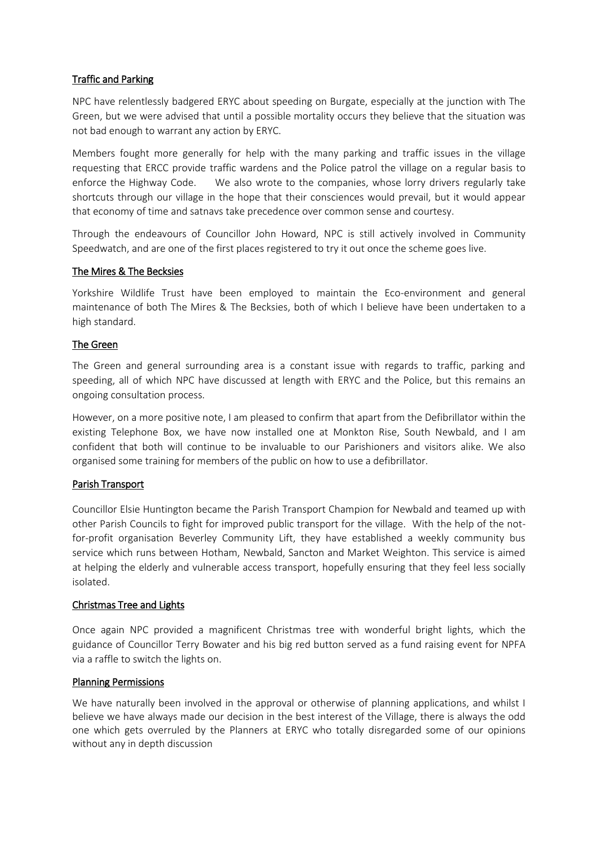## Traffic and Parking

NPC have relentlessly badgered ERYC about speeding on Burgate, especially at the junction with The Green, but we were advised that until a possible mortality occurs they believe that the situation was not bad enough to warrant any action by ERYC.

Members fought more generally for help with the many parking and traffic issues in the village requesting that ERCC provide traffic wardens and the Police patrol the village on a regular basis to enforce the Highway Code. We also wrote to the companies, whose lorry drivers regularly take shortcuts through our village in the hope that their consciences would prevail, but it would appear that economy of time and satnavs take precedence over common sense and courtesy.

Through the endeavours of Councillor John Howard, NPC is still actively involved in Community Speedwatch, and are one of the first places registered to try it out once the scheme goes live.

## The Mires & The Becksies

Yorkshire Wildlife Trust have been employed to maintain the Eco-environment and general maintenance of both The Mires & The Becksies, both of which I believe have been undertaken to a high standard.

## The Green

The Green and general surrounding area is a constant issue with regards to traffic, parking and speeding, all of which NPC have discussed at length with ERYC and the Police, but this remains an ongoing consultation process.

However, on a more positive note, I am pleased to confirm that apart from the Defibrillator within the existing Telephone Box, we have now installed one at Monkton Rise, South Newbald, and I am confident that both will continue to be invaluable to our Parishioners and visitors alike. We also organised some training for members of the public on how to use a defibrillator.

#### Parish Transport

Councillor Elsie Huntington became the Parish Transport Champion for Newbald and teamed up with other Parish Councils to fight for improved public transport for the village. With the help of the notfor-profit organisation Beverley Community Lift, they have established a weekly community bus service which runs between Hotham, Newbald, Sancton and Market Weighton. This service is aimed at helping the elderly and vulnerable access transport, hopefully ensuring that they feel less socially isolated.

#### Christmas Tree and Lights

Once again NPC provided a magnificent Christmas tree with wonderful bright lights, which the guidance of Councillor Terry Bowater and his big red button served as a fund raising event for NPFA via a raffle to switch the lights on.

#### Planning Permissions

We have naturally been involved in the approval or otherwise of planning applications, and whilst I believe we have always made our decision in the best interest of the Village, there is always the odd one which gets overruled by the Planners at ERYC who totally disregarded some of our opinions without any in depth discussion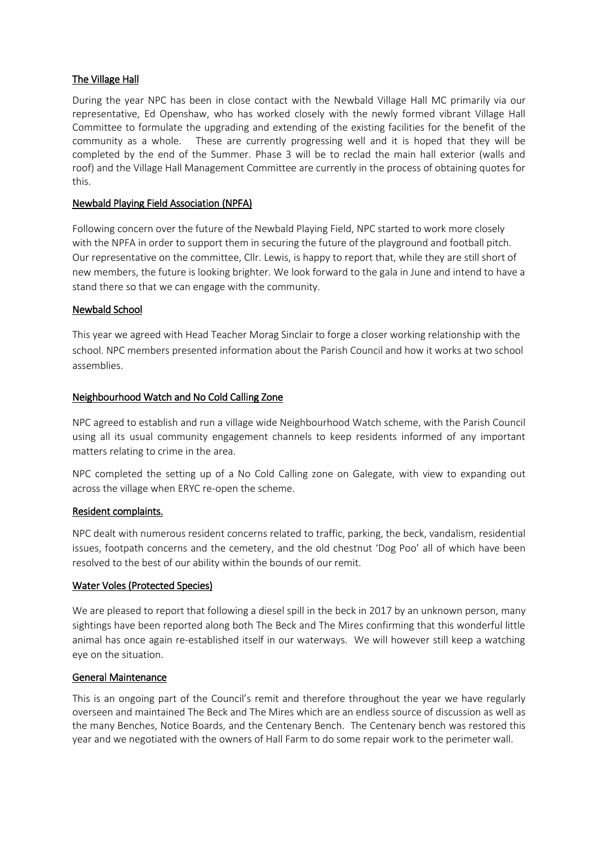## The Village Hall

During the year NPC has been in close contact with the Newbald Village Hall MC primarily via our representative, Ed Openshaw, who has worked closely with the newly formed vibrant Village Hall Committee to formulate the upgrading and extending of the existing facilities for the benefit of the community as a whole. These are currently progressing well and it is hoped that they will be completed by the end of the Summer. Phase 3 will be to reclad the main hall exterior (walls and roof) and the Village Hall Management Committee are currently in the process of obtaining quotes for this.

## Newbald Playing Field Association (NPFA)

Following concern over the future of the Newbald Playing Field, NPC started to work more closely with the NPFA in order to support them in securing the future of the playground and football pitch. Our representative on the committee, Cllr. Lewis, is happy to report that, while they are still short of new members, the future is looking brighter. We look forward to the gala in June and intend to have a stand there so that we can engage with the community.

## Newbald School

This year we agreed with Head Teacher Morag Sinclair to forge a closer working relationship with the school. NPC members presented information about the Parish Council and how it works at two school assemblies.

## Neighbourhood Watch and No Cold Calling Zone

NPC agreed to establish and run a village wide Neighbourhood Watch scheme, with the Parish Council using all its usual community engagement channels to keep residents informed of any important matters relating to crime in the area.

NPC completed the setting up of a No Cold Calling zone on Galegate, with view to expanding out across the village when ERYC re-open the scheme.

#### Resident complaints.

NPC dealt with numerous resident concerns related to traffic, parking, the beck, vandalism, residential issues, footpath concerns and the cemetery, and the old chestnut 'Dog Poo' all of which have been resolved to the best of our ability within the bounds of our remit.

#### Water Voles (Protected Species)

We are pleased to report that following a diesel spill in the beck in 2017 by an unknown person, many sightings have been reported along both The Beck and The Mires confirming that this wonderful little animal has once again re-established itself in our waterways. We will however still keep a watching eye on the situation.

#### General Maintenance

This is an ongoing part of the Council's remit and therefore throughout the year we have regularly overseen and maintained The Beck and The Mires which are an endless source of discussion as well as the many Benches, Notice Boards, and the Centenary Bench. The Centenary bench was restored this year and we negotiated with the owners of Hall Farm to do some repair work to the perimeter wall.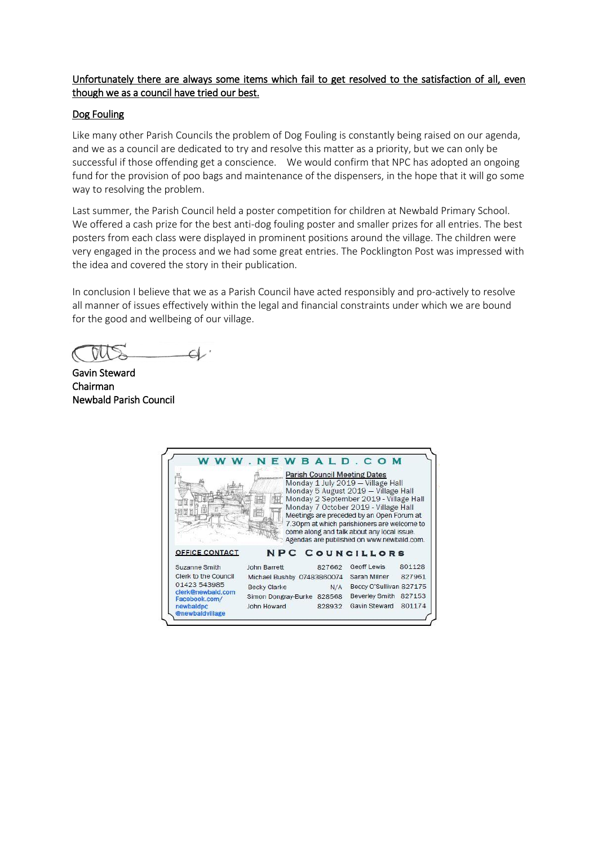# Unfortunately there are always some items which fail to get resolved to the satisfaction of all, even though we as a council have tried our best.

## Dog Fouling

Like many other Parish Councils the problem of Dog Fouling is constantly being raised on our agenda, and we as a council are dedicated to try and resolve this matter as a priority, but we can only be successful if those offending get a conscience. We would confirm that NPC has adopted an ongoing fund for the provision of poo bags and maintenance of the dispensers, in the hope that it will go some way to resolving the problem.

Last summer, the Parish Council held a poster competition for children at Newbald Primary School. We offered a cash prize for the best anti-dog fouling poster and smaller prizes for all entries. The best posters from each class were displayed in prominent positions around the village. The children were very engaged in the process and we had some great entries. The Pocklington Post was impressed with the idea and covered the story in their publication.

In conclusion I believe that we as a Parish Council have acted responsibly and pro-actively to resolve all manner of issues effectively within the legal and financial constraints under which we are bound for the good and wellbeing of our village.

 $\overline{\phantom{0}}$ 

Gavin Steward Chairman Newbald Parish Council